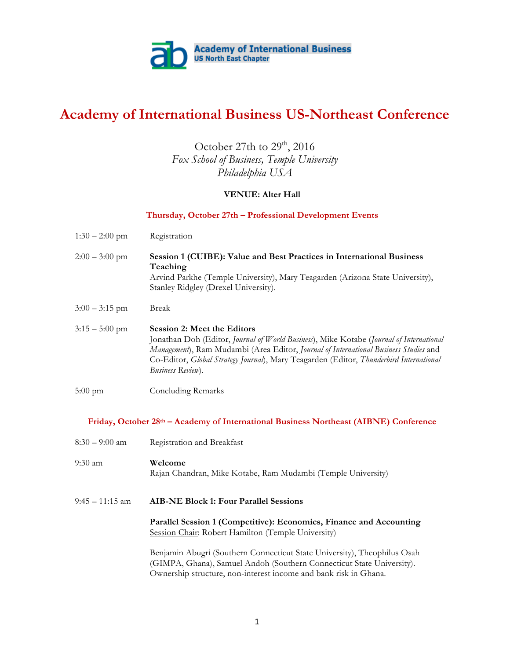

# **Academy of International Business US-Northeast Conference**

## October 27th to 29<sup>th</sup>, 2016 *Fox School of Business, Temple University Philadelphia USA*

### **VENUE: Alter Hall**

### **Thursday, October 27th – Professional Development Events**

| $1:30 - 2:00$ pm                                                                      | Registration                                                                                                                                                                                                                                                                                                                         |  |
|---------------------------------------------------------------------------------------|--------------------------------------------------------------------------------------------------------------------------------------------------------------------------------------------------------------------------------------------------------------------------------------------------------------------------------------|--|
| $2:00 - 3:00$ pm                                                                      | Session 1 (CUIBE): Value and Best Practices in International Business<br>Teaching<br>Arvind Parkhe (Temple University), Mary Teagarden (Arizona State University),<br>Stanley Ridgley (Drexel University).                                                                                                                           |  |
| $3:00 - 3:15$ pm                                                                      | <b>Break</b>                                                                                                                                                                                                                                                                                                                         |  |
| $3:15 - 5:00$ pm                                                                      | <b>Session 2: Meet the Editors</b><br>Jonathan Doh (Editor, Journal of World Business), Mike Kotabe (Journal of International<br>Management), Ram Mudambi (Area Editor, Journal of International Business Studies and<br>Co-Editor, Global Strategy Journal), Mary Teagarden (Editor, Thunderbird International<br>Business Review). |  |
| $5:00 \text{ pm}$                                                                     | <b>Concluding Remarks</b>                                                                                                                                                                                                                                                                                                            |  |
| Friday, October 28th – Academy of International Business Northeast (AIBNE) Conference |                                                                                                                                                                                                                                                                                                                                      |  |
| $8:30 - 9:00$ am                                                                      | Registration and Breakfast                                                                                                                                                                                                                                                                                                           |  |
| $9:30$ am                                                                             | Welcome<br>Rajan Chandran, Mike Kotabe, Ram Mudambi (Temple University)                                                                                                                                                                                                                                                              |  |
| $9:45 - 11:15$ am                                                                     | <b>AIB-NE Block 1: Four Parallel Sessions</b>                                                                                                                                                                                                                                                                                        |  |
|                                                                                       | Parallel Session 1 (Competitive): Economics, Finance and Accounting<br>Session Chair: Robert Hamilton (Temple University)                                                                                                                                                                                                            |  |
|                                                                                       | Benjamin Abugri (Southern Connecticut State University), Theophilus Osah<br>(GIMPA, Ghana), Samuel Andoh (Southern Connecticut State University).                                                                                                                                                                                    |  |

Ownership structure, non-interest income and bank risk in Ghana.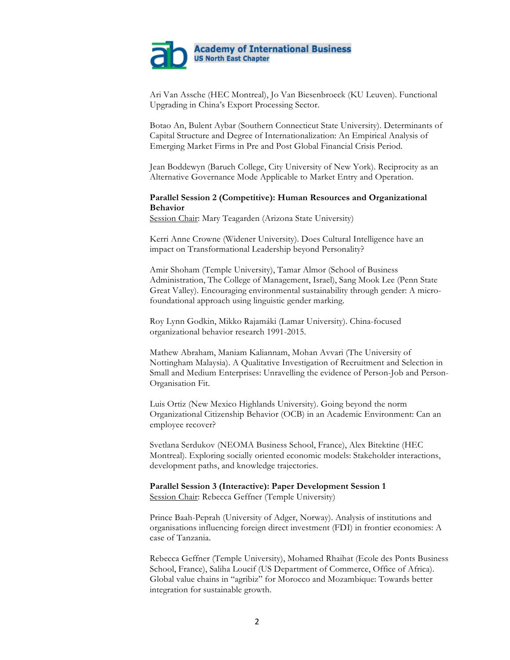

Ari Van Assche (HEC Montreal), Jo Van Biesenbroeck (KU Leuven). Functional Upgrading in China's Export Processing Sector.

Botao An, Bulent Aybar (Southern Connecticut State University). Determinants of Capital Structure and Degree of Internationalization: An Empirical Analysis of Emerging Market Firms in Pre and Post Global Financial Crisis Period.

Jean Boddewyn (Baruch College, City University of New York). Reciprocity as an Alternative Governance Mode Applicable to Market Entry and Operation.

### **Parallel Session 2 (Competitive): Human Resources and Organizational Behavior**

Session Chair: Mary Teagarden (Arizona State University)

Kerri Anne Crowne (Widener University). Does Cultural Intelligence have an impact on Transformational Leadership beyond Personality?

Amir Shoham (Temple University), Tamar Almor (School of Business Administration, The College of Management, Israel), Sang Mook Lee (Penn State Great Valley). Encouraging environmental sustainability through gender: A microfoundational approach using linguistic gender marking.

Roy Lynn Godkin, Mikko Rajamáki (Lamar University). China-focused organizational behavior research 1991-2015.

Mathew Abraham, Maniam Kaliannam, Mohan Avvari (The University of Nottingham Malaysia). A Qualitative Investigation of Recruitment and Selection in Small and Medium Enterprises: Unravelling the evidence of Person-Job and Person-Organisation Fit.

Luis Ortiz (New Mexico Highlands University). Going beyond the norm Organizational Citizenship Behavior (OCB) in an Academic Environment: Can an employee recover?

Svetlana Serdukov (NEOMA Business School, France), Alex Bitektine (HEC Montreal). Exploring socially oriented economic models: Stakeholder interactions, development paths, and knowledge trajectories.

# **Parallel Session 3 (Interactive): Paper Development Session 1**

Session Chair: Rebecca Geffner (Temple University)

Prince Baah-Peprah (University of Adger, Norway). Analysis of institutions and organisations influencing foreign direct investment (FDI) in frontier economies: A case of Tanzania.

Rebecca Geffner (Temple University), Mohamed Rhaihat (Ecole des Ponts Business School, France), Saliha Loucif (US Department of Commerce, Office of Africa). Global value chains in "agribiz" for Morocco and Mozambique: Towards better integration for sustainable growth.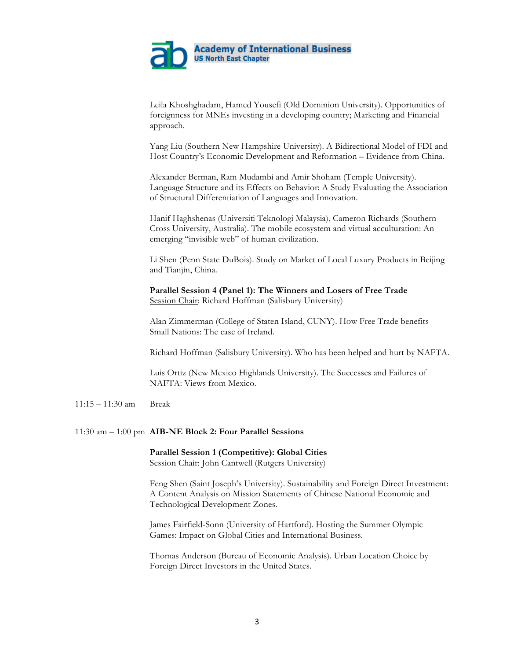

Leila Khoshghadam, Hamed Yousefi (Old Dominion University). Opportunities of foreignness for MNEs investing in a developing country; Marketing and Financial approach.

Yang Liu (Southern New Hampshire University). A Bidirectional Model of FDI and Host Country's Economic Development and Reformation – Evidence from China.

Alexander Berman, Ram Mudambi and Amir Shoham (Temple University). Language Structure and its Effects on Behavior: A Study Evaluating the Association of Structural Differentiation of Languages and Innovation.

Hanif Haghshenas (Universiti Teknologi Malaysia), Cameron Richards (Southern Cross University, Australia). The mobile ecosystem and virtual acculturation: An emerging "invisible web" of human civilization.

Li Shen (Penn State DuBois). Study on Market of Local Luxury Products in Beijing and Tianjin, China.

**Parallel Session 4 (Panel 1): The Winners and Losers of Free Trade** Session Chair: Richard Hoffman (Salisbury University)

Alan Zimmerman (College of Staten Island, CUNY). How Free Trade benefits Small Nations: The case of Ireland.

Richard Hoffman (Salisbury University). Who has been helped and hurt by NAFTA.

Luis Ortiz (New Mexico Highlands University). The Successes and Failures of NAFTA: Views from Mexico.

### 11:15 – 11:30 am Break

### 11:30 am – 1:00 pm **AIB-NE Block 2: Four Parallel Sessions**

### **Parallel Session 1 (Competitive): Global Cities**

Session Chair: John Cantwell (Rutgers University)

Feng Shen (Saint Joseph's University). Sustainability and Foreign Direct Investment: A Content Analysis on Mission Statements of Chinese National Economic and Technological Development Zones.

James Fairfield-Sonn (University of Hartford). Hosting the Summer Olympic Games: Impact on Global Cities and International Business.

Thomas Anderson (Bureau of Economic Analysis). Urban Location Choice by Foreign Direct Investors in the United States.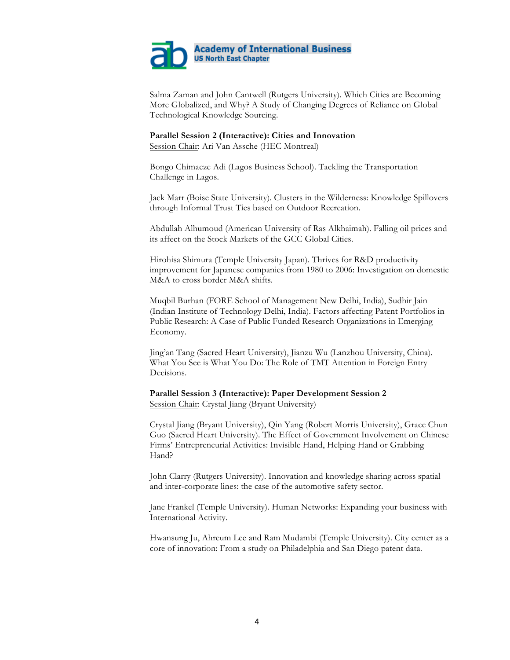

Salma Zaman and John Cantwell (Rutgers University). Which Cities are Becoming More Globalized, and Why? A Study of Changing Degrees of Reliance on Global Technological Knowledge Sourcing.

### **Parallel Session 2 (Interactive): Cities and Innovation**

Session Chair: Ari Van Assche (HEC Montreal)

Bongo Chimaeze Adi (Lagos Business School). Tackling the Transportation Challenge in Lagos.

Jack Marr (Boise State University). Clusters in the Wilderness: Knowledge Spillovers through Informal Trust Ties based on Outdoor Recreation.

Abdullah Alhumoud (American University of Ras Alkhaimah). Falling oil prices and its affect on the Stock Markets of the GCC Global Cities.

Hirohisa Shimura (Temple University Japan). Thrives for R&D productivity improvement for Japanese companies from 1980 to 2006: Investigation on domestic M&A to cross border M&A shifts.

Muqbil Burhan (FORE School of Management New Delhi, India), Sudhir Jain (Indian Institute of Technology Delhi, India). Factors affecting Patent Portfolios in Public Research: A Case of Public Funded Research Organizations in Emerging Economy.

Jing'an Tang (Sacred Heart University), Jianzu Wu (Lanzhou University, China). What You See is What You Do: The Role of TMT Attention in Foreign Entry Decisions.

### **Parallel Session 3 (Interactive): Paper Development Session 2** Session Chair: Crystal Jiang (Bryant University)

Crystal Jiang (Bryant University), Qin Yang (Robert Morris University), Grace Chun Guo (Sacred Heart University). The Effect of Government Involvement on Chinese Firms' Entrepreneurial Activities: Invisible Hand, Helping Hand or Grabbing Hand?

John Clarry (Rutgers University). Innovation and knowledge sharing across spatial and inter-corporate lines: the case of the automotive safety sector.

Jane Frankel (Temple University). Human Networks: Expanding your business with International Activity.

Hwansung Ju, Ahreum Lee and Ram Mudambi (Temple University). City center as a core of innovation: From a study on Philadelphia and San Diego patent data.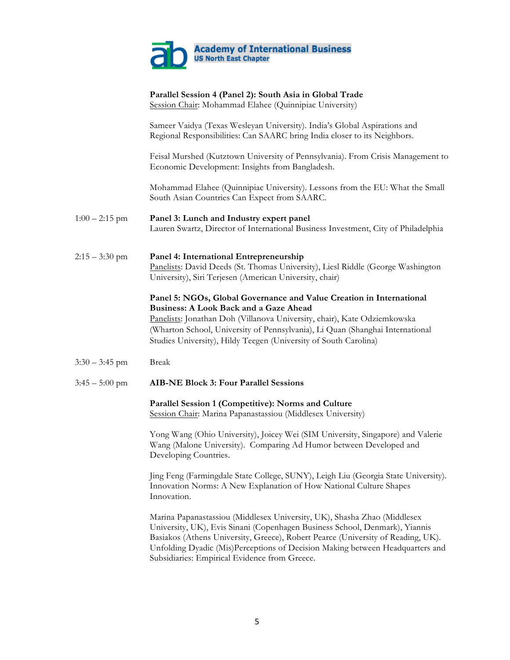

|                  | Parallel Session 4 (Panel 2): South Asia in Global Trade<br>Session Chair: Mohammad Elahee (Quinnipiac University)                                                                                                                                                                                                                                     |
|------------------|--------------------------------------------------------------------------------------------------------------------------------------------------------------------------------------------------------------------------------------------------------------------------------------------------------------------------------------------------------|
|                  | Sameer Vaidya (Texas Wesleyan University). India's Global Aspirations and<br>Regional Responsibilities: Can SAARC bring India closer to its Neighbors.                                                                                                                                                                                                 |
|                  | Feisal Murshed (Kutztown University of Pennsylvania). From Crisis Management to<br>Economic Development: Insights from Bangladesh.                                                                                                                                                                                                                     |
|                  | Mohammad Elahee (Quinnipiac University). Lessons from the EU: What the Small<br>South Asian Countries Can Expect from SAARC.                                                                                                                                                                                                                           |
| $1:00 - 2:15$ pm | Panel 3: Lunch and Industry expert panel<br>Lauren Swartz, Director of International Business Investment, City of Philadelphia                                                                                                                                                                                                                         |
| $2:15 - 3:30$ pm | Panel 4: International Entrepreneurship<br>Panelists: David Deeds (St. Thomas University), Liesl Riddle (George Washington<br>University), Siri Terjesen (American University, chair)                                                                                                                                                                  |
|                  | Panel 5: NGOs, Global Governance and Value Creation in International<br><b>Business: A Look Back and a Gaze Ahead</b><br>Panelists: Jonathan Doh (Villanova University, chair), Kate Odziemkowska<br>(Wharton School, University of Pennsylvania), Li Quan (Shanghai International<br>Studies University), Hildy Teegen (University of South Carolina) |
| $3:30 - 3:45$ pm | <b>Break</b>                                                                                                                                                                                                                                                                                                                                           |
| $3:45 - 5:00$ pm | <b>AIB-NE Block 3: Four Parallel Sessions</b>                                                                                                                                                                                                                                                                                                          |
|                  | Parallel Session 1 (Competitive): Norms and Culture<br>Session Chair: Marina Papanastassiou (Middlesex University)                                                                                                                                                                                                                                     |
|                  | Yong Wang (Ohio University), Joicey Wei (SIM University, Singapore) and Valerie<br>Wang (Malone University). Comparing Ad Humor between Developed and<br>Developing Countries.                                                                                                                                                                         |
|                  | Jing Feng (Farmingdale State College, SUNY), Leigh Liu (Georgia State University).<br>Innovation Norms: A New Explanation of How National Culture Shapes<br>Innovation.                                                                                                                                                                                |
|                  | Marina Papanastassiou (Middlesex University, UK), Shasha Zhao (Middlesex<br>University, UK), Evis Sinani (Copenhagen Business School, Denmark), Yiannis<br>Basiakos (Athens University, Greece). Robert Pearce (University of Reading, UK).                                                                                                            |

Basiakos (Athens University, Greece), Robert Pearce (University of Reading, UK). Unfolding Dyadic (Mis)Perceptions of Decision Making between Headquarters and Subsidiaries: Empirical Evidence from Greece.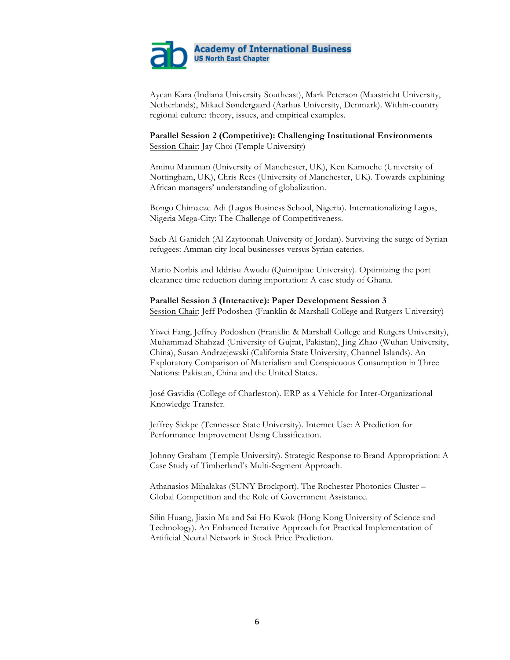

Aycan Kara (Indiana University Southeast), Mark Peterson (Maastricht University, Netherlands), Mikael Søndergaard (Aarhus University, Denmark). Within-country regional culture: theory, issues, and empirical examples.

**Parallel Session 2 (Competitive): Challenging Institutional Environments** Session Chair: Jay Choi (Temple University)

Aminu Mamman (University of Manchester, UK), Ken Kamoche (University of Nottingham, UK), Chris Rees (University of Manchester, UK). Towards explaining African managers' understanding of globalization.

Bongo Chimaeze Adi (Lagos Business School, Nigeria). Internationalizing Lagos, Nigeria Mega-City: The Challenge of Competitiveness.

Saeb Al Ganideh (Al Zaytoonah University of Jordan). Surviving the surge of Syrian refugees: Amman city local businesses versus Syrian eateries.

Mario Norbis and Iddrisu Awudu (Quinnipiac University). Optimizing the port clearance time reduction during importation: A case study of Ghana.

#### **Parallel Session 3 (Interactive): Paper Development Session 3**

Session Chair: Jeff Podoshen (Franklin & Marshall College and Rutgers University)

Yiwei Fang, Jeffrey Podoshen (Franklin & Marshall College and Rutgers University), Muhammad Shahzad (University of Gujrat, Pakistan), Jing Zhao (Wuhan University, China), Susan Andrzejewski (California State University, Channel Islands). An Exploratory Comparison of Materialism and Conspicuous Consumption in Three Nations: Pakistan, China and the United States.

José Gavidia (College of Charleston). ERP as a Vehicle for Inter-Organizational Knowledge Transfer.

Jeffrey Siekpe (Tennessee State University). Internet Use: A Prediction for Performance Improvement Using Classification.

Johnny Graham (Temple University). Strategic Response to Brand Appropriation: A Case Study of Timberland's Multi-Segment Approach.

Athanasios Mihalakas (SUNY Brockport). The Rochester Photonics Cluster – Global Competition and the Role of Government Assistance.

Silin Huang, Jiaxin Ma and Sai Ho Kwok (Hong Kong University of Science and Technology). An Enhanced Iterative Approach for Practical Implementation of Artificial Neural Network in Stock Price Prediction.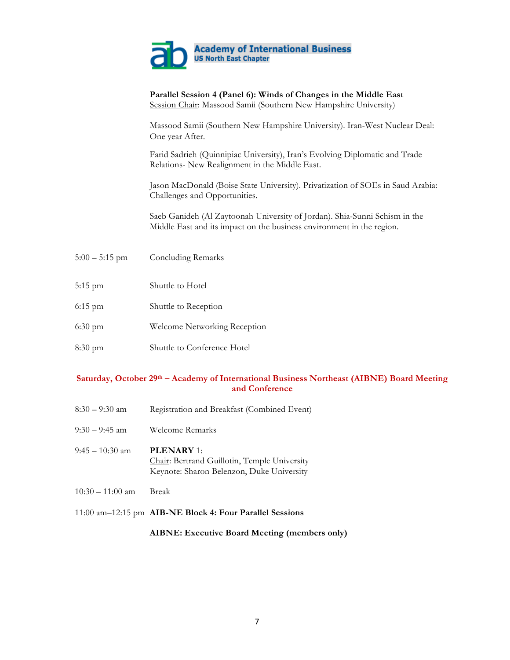

|                   | Parallel Session 4 (Panel 6): Winds of Changes in the Middle East<br>Session Chair: Massood Samii (Southern New Hampshire University)               |
|-------------------|-----------------------------------------------------------------------------------------------------------------------------------------------------|
|                   | Massood Samii (Southern New Hampshire University). Iran-West Nuclear Deal:<br>One year After.                                                       |
|                   | Farid Sadrieh (Quinnipiac University), Iran's Evolving Diplomatic and Trade<br>Relations- New Realignment in the Middle East.                       |
|                   | Jason MacDonald (Boise State University). Privatization of SOEs in Saud Arabia:<br>Challenges and Opportunities.                                    |
|                   | Saeb Ganideh (Al Zaytoonah University of Jordan). Shia-Sunni Schism in the<br>Middle East and its impact on the business environment in the region. |
| $5:00 - 5:15$ pm  | <b>Concluding Remarks</b>                                                                                                                           |
| $5:15$ pm         | Shuttle to Hotel                                                                                                                                    |
| $6:15$ pm         | Shuttle to Reception                                                                                                                                |
| $6:30 \text{ pm}$ | Welcome Networking Reception                                                                                                                        |
| $8:30 \text{ pm}$ | Shuttle to Conference Hotel                                                                                                                         |

### **Saturday, October 29th – Academy of International Business Northeast (AIBNE) Board Meeting and Conference**

- 8:30 9:30 am Registration and Breakfast (Combined Event)
- 9:30 9:45 am Welcome Remarks
- 9:45 10:30 am **PLENARY** 1: Chair: Bertrand Guillotin, Temple University Keynote: Sharon Belenzon, Duke University
- 10:30 11:00 am Break
- 11:00 am–12:15 pm **AIB-NE Block 4: Four Parallel Sessions**

**AIBNE: Executive Board Meeting (members only)**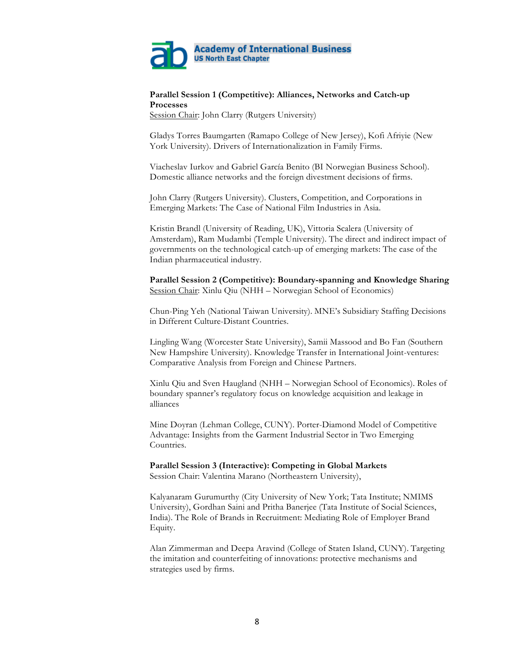

### **Parallel Session 1 (Competitive): Alliances, Networks and Catch-up Processes**

Session Chair: John Clarry (Rutgers University)

Gladys Torres Baumgarten (Ramapo College of New Jersey), Kofi Afriyie (New York University). Drivers of Internationalization in Family Firms.

Viacheslav Iurkov and Gabriel García Benito (BI Norwegian Business School). Domestic alliance networks and the foreign divestment decisions of firms.

John Clarry (Rutgers University). Clusters, Competition, and Corporations in Emerging Markets: The Case of National Film Industries in Asia.

Kristin Brandl (University of Reading, UK), Vittoria Scalera (University of Amsterdam), Ram Mudambi (Temple University). The direct and indirect impact of governments on the technological catch-up of emerging markets: The case of the Indian pharmaceutical industry.

**Parallel Session 2 (Competitive): Boundary-spanning and Knowledge Sharing** Session Chair: Xinlu Qiu (NHH – Norwegian School of Economics)

Chun-Ping Yeh (National Taiwan University). MNE's Subsidiary Staffing Decisions in Different Culture-Distant Countries.

Lingling Wang (Worcester State University), Samii Massood and Bo Fan (Southern New Hampshire University). Knowledge Transfer in International Joint-ventures: Comparative Analysis from Foreign and Chinese Partners.

Xinlu Qiu and Sven Haugland (NHH – Norwegian School of Economics). Roles of boundary spanner's regulatory focus on knowledge acquisition and leakage in alliances

Mine Doyran (Lehman College, CUNY). Porter-Diamond Model of Competitive Advantage: Insights from the Garment Industrial Sector in Two Emerging Countries.

### **Parallel Session 3 (Interactive): Competing in Global Markets**

Session Chair: Valentina Marano (Northeastern University),

Kalyanaram Gurumurthy (City University of New York; Tata Institute; NMIMS University), Gordhan Saini and Pritha Banerjee (Tata Institute of Social Sciences, India). The Role of Brands in Recruitment: Mediating Role of Employer Brand Equity.

Alan Zimmerman and Deepa Aravind (College of Staten Island, CUNY). Targeting the imitation and counterfeiting of innovations: protective mechanisms and strategies used by firms.